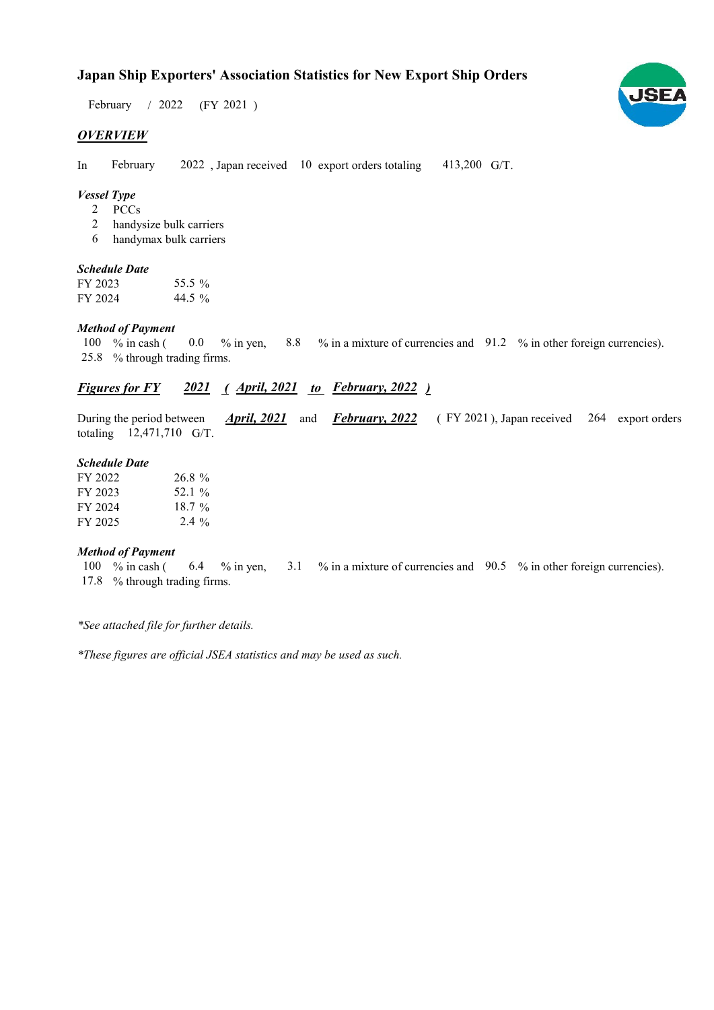# **Japan Ship Exporters' Association Statistics for New Export Ship Orders**

February / 2022 (FY 2021)

## *OVERVIEW*

In February 2022, Japan received 10 export orders totaling 413,200 G/T. February

## *Vessel Type*

- PCCs 2
- handysize bulk carriers 2
- handymax bulk carriers 6

#### *Schedule Date*

FY 2023 FY 2024 44.5 % 55.5 %

### *Method of Payment*

% in cash ( $\ 0.0\$  % in yen,  $\ 8.8\$  % in a mixture of currencies and  $\ 91.2\$  % in other foreign currencies). % through trading firms. 25.8  $0.0 \t% in yen,$ 100  $%$  in cash (

## *Figures for FY* 2021 (*April, 2021 to February, 2022* )

During the period between *April, 2021* and *February, 2022* (FY 2021), Japan received 264 export orders totaling  $12,471,710$  G/T. *February, 2022 April, 2021*

#### *Schedule Date*

| FY 2022 | 26.8%    |
|---------|----------|
| FY 2023 | 52.1 %   |
| FY 2024 | $18.7\%$ |
| FY 2025 | $2.4\%$  |

#### *Method of Payment*

% in cash ( $\qquad 6.4 \qquad$ % in yen,  $\qquad 3.1 \qquad$ % in a mixture of currencies and  $\qquad 90.5 \qquad$ % in other foreign currencies). % through trading firms. 17.8100 % in cash (

*\*See attached file for further details.*

*\*These figures are official JSEA statistics and may be used as such.*

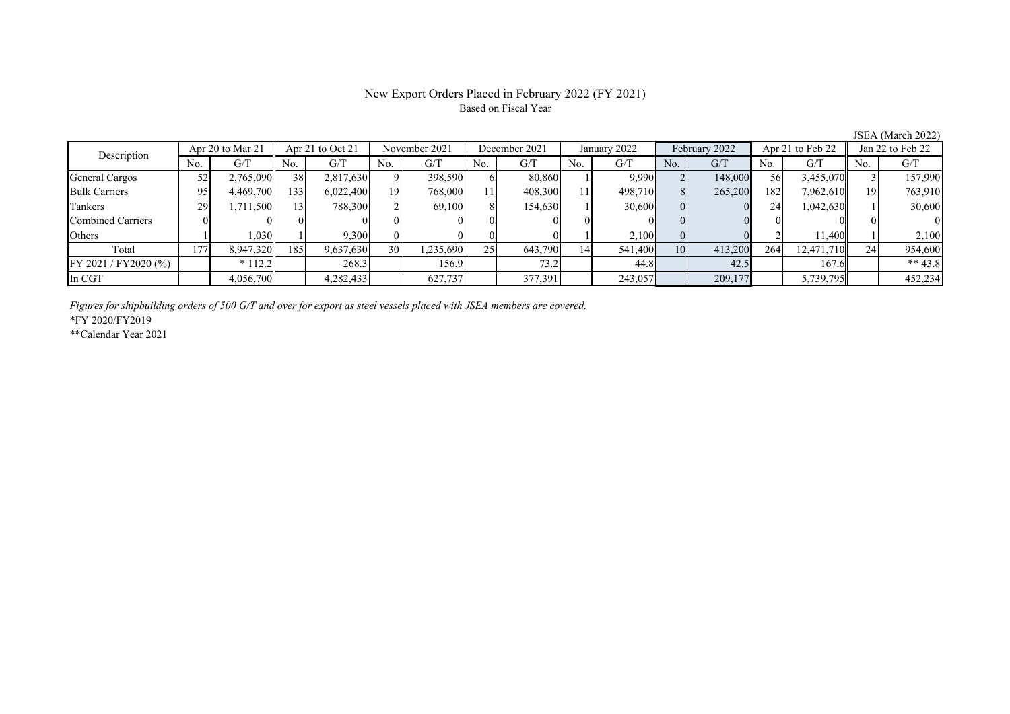# New Export Orders Placed in February 2022 (FY 2021) Based on Fiscal Year

JSEA (March 2022)

| Description           | Apr 20 to Mar 21 |           | Apr 21 to $Oct$ 21 |           | November 2021 |           | December 2021 |         | January 2022 |         | February 2022 |         | Apr 21 to Feb 22 |            | Jan 22 to Feb 22 |            |
|-----------------------|------------------|-----------|--------------------|-----------|---------------|-----------|---------------|---------|--------------|---------|---------------|---------|------------------|------------|------------------|------------|
|                       | No.              | G/T       | No.                | G/T       | No.           | G/T       | No.           | G/T     | No.          | G/T     | No.           | G/T     | No.              | G/T        | No.              | G/T        |
| General Cargos        |                  | 2,765,090 | 38                 | 2,817,630 |               | 398,590   | 61            | 80,860  |              | 9,990   |               | 148,000 | 56               | 3,455,070  |                  | 157,990    |
| <b>Bulk Carriers</b>  | 95               | 4.469.700 | 133                | 6,022,400 | 19            | 768,000   |               | 408,300 |              | 498,710 |               | 265,200 | 182              | 7,962,610  |                  | 763,910    |
| Tankers               |                  | 1,711,500 | 13                 | 788,300   |               | 69.100    |               | 154,630 |              | 30,600  |               |         | 24               | 1,042,630  |                  | 30,600     |
| Combined Carriers     |                  |           |                    |           |               |           |               |         |              |         |               |         |                  |            |                  | $^{\circ}$ |
| Others                |                  | 1.030     |                    | 9.300     |               |           |               |         |              | 2,100   |               |         |                  | 11.400     |                  | 2,100      |
| Total                 | 177              | 8,947,320 | 185                | 9,637,630 | 30            | 1,235,690 | 25            | 643,790 | 14           | 541,400 | 10            | 413,200 | 264              | 12,471,710 |                  | 954,600    |
| FY 2021 / FY 2020 (%) |                  | $*112.2$  |                    | 268.3     |               | 156.9     |               | 73.2    |              | 44.8    |               | 42.5    |                  | 167.6      |                  | ** $43.8$  |
| In CGT                |                  | 4,056,700 |                    | 4,282,433 |               | 627,737   |               | 377,391 |              | 243,057 |               | 209,177 |                  | 5,739,795  |                  | 452,234    |

*Figures for shipbuilding orders of 500 G/T and over for export as steel vessels placed with JSEA members are covered.*

\*FY 2020/FY2019

\*\*Calendar Year 2021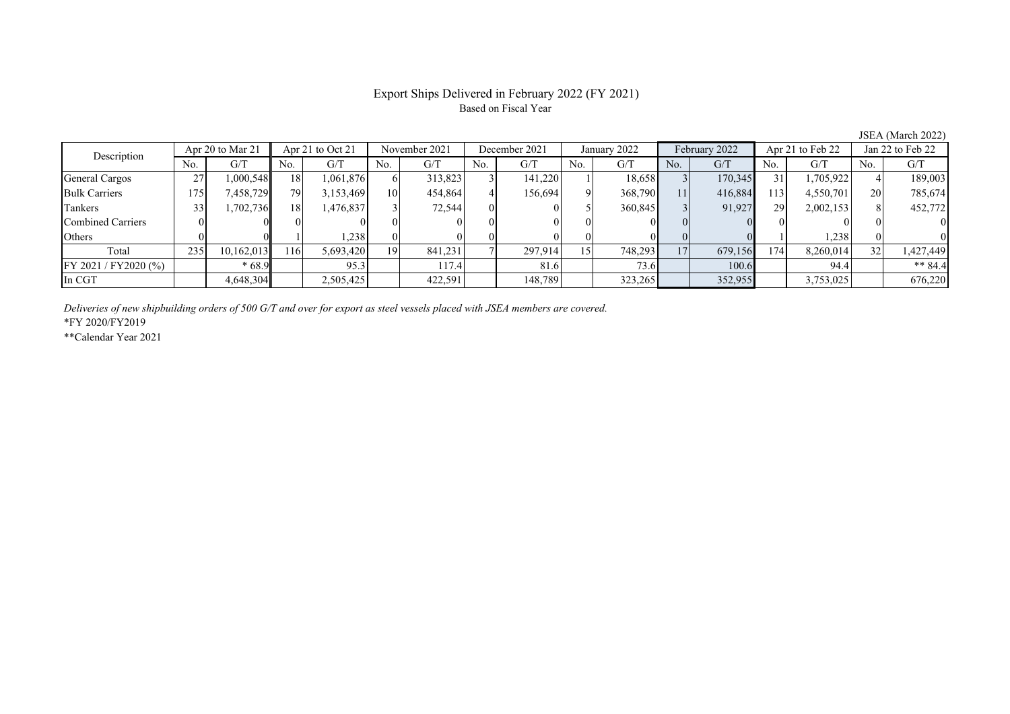# Export Ships Delivered in February 2022 (FY 2021) Based on Fiscal Year

JSEA (March 2022)

| Description           | Apr 20 to Mar 21 |            | Apr 21 to Oct 21 |           | November 2021   |         | December 2021 |          | January 2022 |             | February 2022 |         | Apr 21 to Feb 22 |           | Jan 22 to Feb 22 |           |
|-----------------------|------------------|------------|------------------|-----------|-----------------|---------|---------------|----------|--------------|-------------|---------------|---------|------------------|-----------|------------------|-----------|
|                       | No.              | G/T        | No.              | G/T       | N <sub>0</sub>  | G/T     | No.           | G/T      | No.          | G/T         | No.           | G/T     | No.              | G/T       | No.              | G/T       |
| General Cargos        | 27<br>، ت        | 000,548    | 18               | 1,061,876 |                 | 313,823 |               | 141,220  |              | 18,658      |               | 170,345 | 31               | 1,705,922 |                  | 189,003   |
| <b>Bulk Carriers</b>  | 175              | 7,458,729  | 79.              | 3,153,469 | 10 <sup>1</sup> | 454,864 |               | 156,694  |              | 368,790     | 11            | 416,884 | 113              | 4,550,701 | 20               | 785,674   |
| Tankers               |                  | 1,702,736  | 18 <sup> </sup>  | 1,476,837 |                 | 72,544  |               | $\Omega$ |              | 360,845     |               | 91,927  | 29               | 2,002,153 |                  | 452,772   |
| Combined Carriers     |                  |            |                  |           |                 |         |               | $\Omega$ |              |             |               |         |                  |           |                  |           |
| Others                |                  |            |                  | 1,238     |                 |         |               | 01       |              |             |               |         |                  | 1,238     |                  |           |
| Total                 | 235              | 10,162,013 | 116              | 5,693,420 | 19              | 841,231 |               | 297.914  |              | 748,293     | 17            | 679,156 | 174              | 8,260,014 | 32               | 1,427,449 |
| FY 2021 / FY 2020 (%) |                  | $*68.9$    |                  | 95.3      |                 | 117.4   |               | 81.6     |              | <b>73.6</b> |               | 100.6   |                  | 94.4      |                  | ** $84.4$ |
| In CGT                |                  | 4,648,304  |                  | 2,505,425 |                 | 422,591 |               | 148,789  |              | 323,265     |               | 352,955 |                  | 3,753,025 |                  | 676,220   |

*Deliveries of new shipbuilding orders of 500 G/T and over for export as steel vessels placed with JSEA members are covered.*

\*FY 2020/FY2019

\*\*Calendar Year 2021